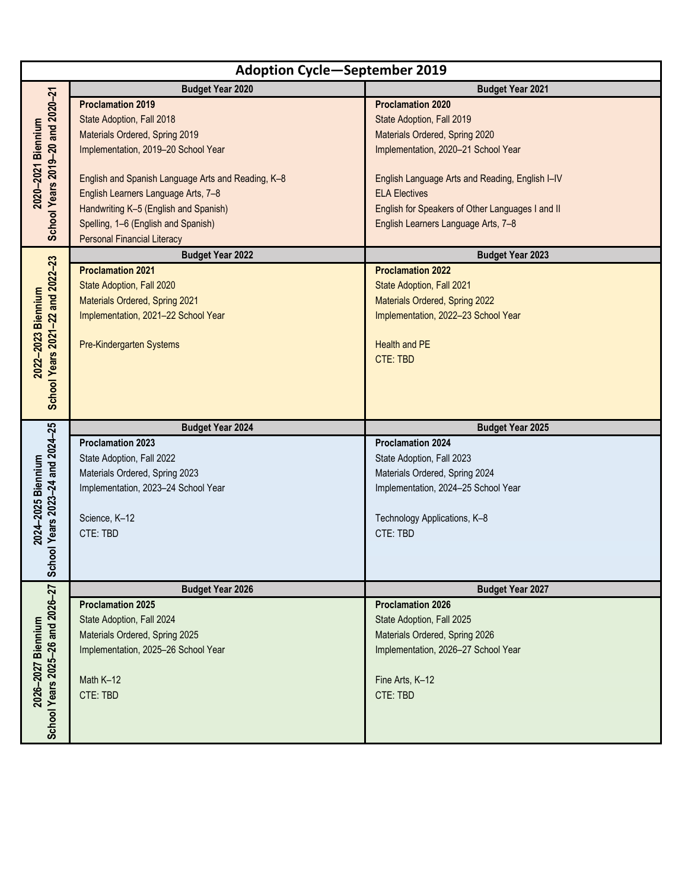| <b>Adoption Cycle-September 2019</b>                   |                                                             |                                                             |
|--------------------------------------------------------|-------------------------------------------------------------|-------------------------------------------------------------|
|                                                        | <b>Budget Year 2020</b>                                     | <b>Budget Year 2021</b>                                     |
| School Years 2019-20 and 2020-21<br>2020-2021 Biennium | <b>Proclamation 2019</b>                                    | <b>Proclamation 2020</b>                                    |
|                                                        | State Adoption, Fall 2018                                   | State Adoption, Fall 2019                                   |
|                                                        | Materials Ordered, Spring 2019                              | Materials Ordered, Spring 2020                              |
|                                                        | Implementation, 2019-20 School Year                         | Implementation, 2020-21 School Year                         |
|                                                        |                                                             |                                                             |
|                                                        | English and Spanish Language Arts and Reading, K-8          | English Language Arts and Reading, English I-IV             |
|                                                        | English Learners Language Arts, 7-8                         | <b>ELA Electives</b>                                        |
|                                                        | Handwriting K-5 (English and Spanish)                       | English for Speakers of Other Languages I and II            |
|                                                        | Spelling, 1-6 (English and Spanish)                         | English Learners Language Arts, 7-8                         |
|                                                        | <b>Personal Financial Literacy</b>                          |                                                             |
|                                                        | <b>Budget Year 2022</b>                                     | <b>Budget Year 2023</b>                                     |
| School Years 2021-22 and 2022-23                       | <b>Proclamation 2021</b>                                    | <b>Proclamation 2022</b>                                    |
|                                                        | State Adoption, Fall 2020                                   | State Adoption, Fall 2021                                   |
|                                                        | Materials Ordered, Spring 2021                              | Materials Ordered, Spring 2022                              |
| 2022-2023 Biennium                                     | Implementation, 2021-22 School Year                         | Implementation, 2022-23 School Year                         |
|                                                        | Pre-Kindergarten Systems                                    | Health and PE                                               |
|                                                        |                                                             | <b>CTE: TBD</b>                                             |
|                                                        |                                                             |                                                             |
|                                                        |                                                             |                                                             |
|                                                        |                                                             |                                                             |
|                                                        |                                                             |                                                             |
|                                                        |                                                             |                                                             |
|                                                        | <b>Budget Year 2024</b>                                     | <b>Budget Year 2025</b>                                     |
|                                                        | <b>Proclamation 2023</b>                                    | <b>Proclamation 2024</b>                                    |
|                                                        | State Adoption, Fall 2022                                   | State Adoption, Fall 2023                                   |
|                                                        | Materials Ordered, Spring 2023                              | Materials Ordered, Spring 2024                              |
|                                                        | Implementation, 2023-24 School Year                         | Implementation, 2024-25 School Year                         |
|                                                        | Science, K-12                                               |                                                             |
|                                                        | CTE: TBD                                                    | Technology Applications, K-8<br>CTE: TBD                    |
| 2024-2025 Biennium                                     |                                                             |                                                             |
|                                                        |                                                             |                                                             |
| School Years 2023-24 and 2024-25                       |                                                             |                                                             |
|                                                        | <b>Budget Year 2026</b>                                     | <b>Budget Year 2027</b>                                     |
|                                                        | <b>Proclamation 2025</b>                                    | <b>Proclamation 2026</b>                                    |
|                                                        | State Adoption, Fall 2024<br>Materials Ordered, Spring 2025 | State Adoption, Fall 2025<br>Materials Ordered, Spring 2026 |
|                                                        | Implementation, 2025-26 School Year                         | Implementation, 2026-27 School Year                         |
|                                                        |                                                             |                                                             |
|                                                        | Math K-12                                                   | Fine Arts, K-12                                             |
|                                                        | CTE: TBD                                                    | CTE: TBD                                                    |
| 2026-2027 Biennium                                     |                                                             |                                                             |
| School Years 2025-26 and 2026-27                       |                                                             |                                                             |